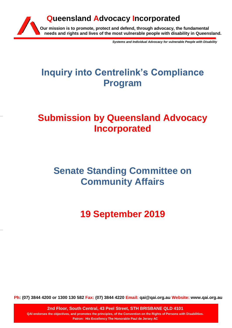

*Systems and Individual Advocacy for vulnerable People with Disability*

# **Inquiry into Centrelink's Compliance Program**

# **Submission by Queensland Advocacy Incorporated**

# **Senate Standing Committee on Community Affairs**

**19 September 2019**

**Ph: (07) 3844 4200 or 1300 130 582 Fax: (07) 3844 4220 Email: qai@qai.org.au Website: www.qai.org.au**

**2nd Floor, South Central, 43 Peel Street, STH BRISBANE QLD 4101 QAI endorses the objectives, and promotes the principles, of the Convention on the Rights of Persons with Disabilities. Patron: His Excellency The Honorable Paul de Jersey AC**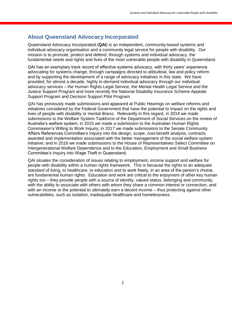## **About Queensland Advocacy Incorporated**

Queensland Advocacy Incorporated (**QAI**) is an independent, community-based systems and individual advocacy organisation and a community legal service for people with disability. Our mission is to promote, protect and defend, through systems and individual advocacy, the fundamental needs and rights and lives of the most vulnerable people with disability in Queensland.

QAI has an exemplary track record of effective systems advocacy, with thirty years' experience advocating for systems change, through campaigns directed to attitudinal, law and policy reform and by supporting the development of a range of advocacy initiatives in this state. We have provided, for almost a decade, highly in-demand individual advocacy through our individual advocacy services – the Human Rights Legal Service, the Mental Health Legal Service and the Justice Support Program and more recently the National Disability Insurance Scheme Appeals Support Program and Decision Support Pilot Program.

QAI has previously made submissions and appeared at Public Hearings on welfare reforms and initiatives considered by the Federal Government that have the potential to impact on the rights and lives of people with disability or mental illness. Relevantly in this regard, in 2014 we made submissions to the Welfare System Taskforce of the Department of Social Services on the review of Australia's welfare system; in 2015 we made a submission to the Australian Human Rights Commission's Willing to Work Inquiry; in 2017 we made submissions to the Senate Community Affairs References Committee's inquiry into the design, scope, cost-benefit analysis, contracts awarded and implementation associated with the better management of the social welfare system initiative; and in 2018 we made submissions to the House of Representatives Select Committee on Intergenerational Welfare Dependence and to the Education, Employment and Small Business Committee's Inquiry into Wage Theft in Queensland.

QAI situates the consideration of issues relating to employment, income support and welfare for people with disability within a human rights framework. This is because the rights to an adequate standard of living, to healthcare, to education and to work freely, in an area of the person's choice, are fundamental human rights. Education and work are critical to the enjoyment of other key human rights too – they provide people with a source of identity, valued status, belonging and community, with the ability to associate with others with whom they share a common interest or connection, and with an income or the potential to ultimately earn a decent income – thus protecting against other vulnerabilities, such as isolation, inadequate healthcare and homelessness.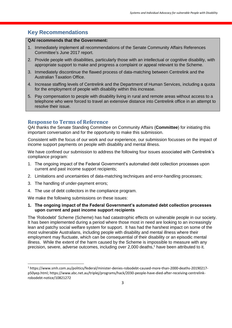## **Key Recommendations**

#### **QAI recommends that the Government:**

- 1. Immediately implement all recommendations of the Senate Community Affairs References Committee's June 2017 report.
- 2. Provide people with disabilities, particularly those with an intellectual or cognitive disability, with appropriate support to make and progress a complaint or appeal relevant to the Scheme.
- 3. Immediately discontinue the flawed process of data-matching between Centrelink and the Australian Taxation Office.
- 4. Increase staffing levels of Centrelink and the Department of Human Services, including a quota for the employment of people with disability within this increase.
- 5. Pay compensation to people with disability living in rural and remote areas without access to a telephone who were forced to travel an extensive distance into Centrelink office in an attempt to resolve their issue.

### **Response to Terms of Reference**

QAI thanks the Senate Standing Committee on Community Affairs (**Committee**) for initiating this important conversation and for the opportunity to make this submission.

Consistent with the focus of our work and our experience, our submission focusses on the impact of income support payments on people with disability and mental illness.

We have confined our submission to address the following four issues associated with Centrelink's compliance program:

- 1. The ongoing impact of the Federal Government's automated debt collection processes upon current and past income support recipients;
- 2. Limitations and uncertainties of data-matching techniques and error-handling processes;
- 3. The handling of under-payment errors;

1

4. The use of debt collectors in the compliance program.

We make the following submissions on these issues:

**1. The ongoing impact of the Federal Government's automated debt collection processes upon current and past income support recipients**

The 'Robodebt' Scheme (Scheme) has had catastrophic effects on vulnerable people in our society. It has been implemented during a period where those most in need are looking to an increasingly lean and patchy social welfare system for support. It has had the harshest impact on some of the most vulnerable Australians, including people with disability and mental illness where their employment may fluctuate, which can be consequential of their disability or an episodic mental illness. While the extent of the harm caused by the Scheme is impossible to measure with any precision, severe, adverse outcomes, including over 2,000 deaths, <sup>1</sup> have been attributed to it.

<sup>1</sup> https://www.smh.com.au/politics/federal/minister-denies-robodebt-caused-more-than-2000-deaths-20190217 p50yep.html; https://www.abc.net.au/triplej/programs/hack/2030-people-have-died-after-receiving-centrelinkrobodebt-notice/10821272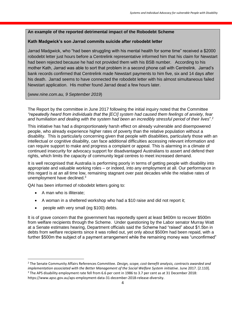### **An example of the reported detrimental impact of the Robodebt Scheme**

### **Kath Madgwick's son Jarrad commits suicide after robodebt letter**

Jarrad Madgwick, who "had been struggling with his mental health for some time" received a \$2000 robodebt letter just hours before a Centrelink representative informed him that his claim for Newstart had been rejected because he had not provided them with his BSB number. According to his mother Kath, Jarrad was able to sort that problem in a second phone call with Centrelink. Jarrad's bank records confirmed that Centrelink made Newstart payments to him five, six and 14 days after his death. Jarrad seems to have connected the robodebt letter with his almost simultaneous failed Newstart application. His mother found Jarrad dead a few hours later.

(*www.nine.com.au, 9 September 2019*)

The Report by the committee in June 2017 following the initial inquiry noted that the Committee *"repeatedly heard from individuals that the [ECI] system had caused them feelings of anxiety, fear and humiliation and dealing with the system had been an incredibly stressful period of their lives*".<sup>2</sup>

This initiative has had a disproportionately harsh effect on already vulnerable and disempowered people, who already experience higher rates of poverty than the relative population without a disability. This is particularly concerning given that people with disabilities, particularly those with an intellectual or cognitive disability, can face additional difficulties accessing relevant information and can require support to make and progress a complaint or appeal. This is alarming in a climate of continued insecurity for advocacy support for disadvantaged Australians to assert and defend their rights, which limits the capacity of community legal centres to meet increased demand.

It is well recognised that Australia is performing poorly in terms of getting people with disability into appropriate and valuable working roles – or indeed, into any employment at all. Our performance in this regard is at an all time low, remaining stagnant over past decades while the relative rates of unemployment have declined.<sup>3</sup>

QAI has been informed of robodebt letters going to:

• A man who is illiterate:

**.** 

- A woman in a sheltered workshop who had a \$10 raise and did not report it;
- people with very small (eg \$100) debts.

It is of grave concern that the government has reportedly spent at least \$400m to recover \$500m from welfare recipients through the Scheme. Under questioning by the Labor senator Murray Watt at a Senate estimates hearing, Department officials said the Scheme had "raised" about \$1.5bn in debts from welfare recipients since it was rolled out, yet only about \$500m had been repaid, with a further \$500m the subject of a payment arrangement while the remaining money was "unconfirmed"

<sup>2</sup> The Senate Community Affairs References Committee. *Design, scope, cost-benefit analysis, contracts awarded and implementation associated with the Better Management of the Social Welfare System initiative*. June 2017. [2.110]. <sup>3</sup> The APS disability employment rate fell from 6.6 per cent in 1986 to 3.7 per cent as at 31 December 2018: https://www.apsc.gov.au/aps-employment-data-31-december-2018-release-diversity.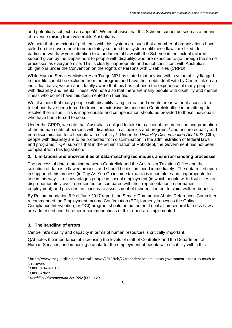and potentially subject to an appeal.<sup>4</sup> We emphasise that this Scheme cannot be seen as a means of revenue raising from vulnerable Australians.

We note that the extent of problems with this system are such that a number of organisations have called on the government to immediately suspend the system until these flaws are fixed. In particular, we draw your attention to a fundamental flaw with the Scheme in the lack of tailored support given by the Department to people with disability, who are expected to go through the same processes as everyone else. This is clearly inappropriate and is not consistent with Australia's obligations under the Convention on the Rights of Persons with Disabilities (CRPD).

While Human Services Minister Alan Tudge MP has stated that anyone with a vulnerability flagged in their file should be excluded from the program and have their debts dealt with by Centrelink on an individual basis, we are anecdotally aware that this has not been the experience of many people with disability and mental illness. We note also that there are many people with disability and mental illness who do not have this documented on their file.

We also note that many people with disability living in rural and remote areas without access to a telephone have been forced to travel an extensive distance into Centrelink office in an attempt to resolve their issue. This is inappropriate and compensation should be provided to those individuals who have been forced to do so.

Under the CRPD, we note that Australia is obliged to take into account the protection and promotion of the human rights of persons with disabilities in all policies and programs<sup>5</sup> and ensure equality and non-discrimination for all people with disability.<sup>6</sup> Under the *Disability Discrimination Act 1992* (Cth), people with disability are to be protected from discrimination in the administration of federal laws and programs.<sup>7</sup> QAI submits that in the administration of Robodebt, the Government has not been compliant with this legislation.

#### **2. Limitations and uncertainties of data-matching techniques and error-handling processes**

The process of data-matching between Centrelink and the Australian Taxation Office and the selection of data is a flawed process and should be discontinued immediately. The data relied upon in support of this process (ie Pay As You Go income tax data) is incomplete and inappropriate for use in this way. It disadvantages people in casual employment (in which people with disabilities are disproportionately over-represented, as compared with their representation in permanent employment) and provides an inaccurate assessment of their entitlement to claim welfare benefits.

By Recommendation 6.9 of June 2017 report, the Senate Community Affairs References Committee recommended the Employment Income Confirmation (ECI; formerly known as the Online Compliance Intervention, or OCI) program should be put on hold until all procedural fairness flaws are addressed and the other recommendations of this report are implemented.

#### **3. The handling of errors**

Centrelink's quality and capacity in terms of human resources is critically important.

QAI notes the importance of increasing the levels of staff of Centrelink and the Department of Human Services, and imposing a quota for the employment of people with disability within this

**.** 

<sup>4</sup> https://www.theguardian.com/australia-news/2019/feb/22/robodebt-scheme-costs-government-almost-as-much-asit-recovers

 $5$  CRPD, Article 4.1(c).

<sup>6</sup> CRPD, Article 5.

<sup>7</sup> *Disability Discrimination Act 1992* (Cth), s 29.